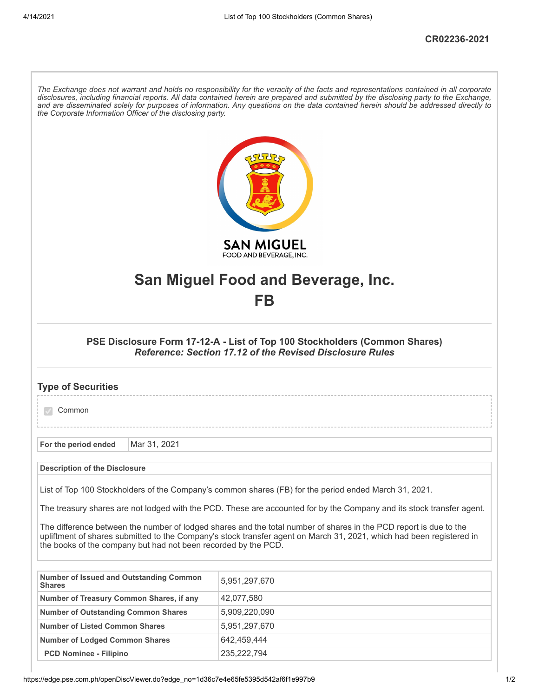ľ

| The Exchange does not warrant and holds no responsibility for the veracity of the facts and representations contained in all corporate<br>disclosures, including financial reports. All data contained herein are prepared and submitted by the disclosing party to the Exchange,<br>and are disseminated solely for purposes of information. Any questions on the data contained herein should be addressed directly to<br>the Corporate Information Officer of the disclosing party.<br><b>SAN MIGUEL</b> |                                                                |                                                                                                                                                                                                                                           |  |  |
|-------------------------------------------------------------------------------------------------------------------------------------------------------------------------------------------------------------------------------------------------------------------------------------------------------------------------------------------------------------------------------------------------------------------------------------------------------------------------------------------------------------|----------------------------------------------------------------|-------------------------------------------------------------------------------------------------------------------------------------------------------------------------------------------------------------------------------------------|--|--|
|                                                                                                                                                                                                                                                                                                                                                                                                                                                                                                             |                                                                | FOOD AND BEVERAGE, INC.                                                                                                                                                                                                                   |  |  |
|                                                                                                                                                                                                                                                                                                                                                                                                                                                                                                             |                                                                | San Miguel Food and Beverage, Inc.                                                                                                                                                                                                        |  |  |
|                                                                                                                                                                                                                                                                                                                                                                                                                                                                                                             |                                                                | FB                                                                                                                                                                                                                                        |  |  |
|                                                                                                                                                                                                                                                                                                                                                                                                                                                                                                             |                                                                |                                                                                                                                                                                                                                           |  |  |
| PSE Disclosure Form 17-12-A - List of Top 100 Stockholders (Common Shares)<br><b>Reference: Section 17.12 of the Revised Disclosure Rules</b>                                                                                                                                                                                                                                                                                                                                                               |                                                                |                                                                                                                                                                                                                                           |  |  |
| <b>Type of Securities</b>                                                                                                                                                                                                                                                                                                                                                                                                                                                                                   |                                                                |                                                                                                                                                                                                                                           |  |  |
| Common                                                                                                                                                                                                                                                                                                                                                                                                                                                                                                      |                                                                |                                                                                                                                                                                                                                           |  |  |
| For the period ended                                                                                                                                                                                                                                                                                                                                                                                                                                                                                        | Mar 31, 2021                                                   |                                                                                                                                                                                                                                           |  |  |
| <b>Description of the Disclosure</b>                                                                                                                                                                                                                                                                                                                                                                                                                                                                        |                                                                |                                                                                                                                                                                                                                           |  |  |
|                                                                                                                                                                                                                                                                                                                                                                                                                                                                                                             |                                                                | List of Top 100 Stockholders of the Company's common shares (FB) for the period ended March 31, 2021.                                                                                                                                     |  |  |
|                                                                                                                                                                                                                                                                                                                                                                                                                                                                                                             |                                                                |                                                                                                                                                                                                                                           |  |  |
| The treasury shares are not lodged with the PCD. These are accounted for by the Company and its stock transfer agent.                                                                                                                                                                                                                                                                                                                                                                                       |                                                                |                                                                                                                                                                                                                                           |  |  |
|                                                                                                                                                                                                                                                                                                                                                                                                                                                                                                             | the books of the company but had not been recorded by the PCD. | The difference between the number of lodged shares and the total number of shares in the PCD report is due to the<br>upliftment of shares submitted to the Company's stock transfer agent on March 31, 2021, which had been registered in |  |  |
| Number of Issued and Outstanding Common<br><b>Shares</b>                                                                                                                                                                                                                                                                                                                                                                                                                                                    |                                                                | 5,951,297,670                                                                                                                                                                                                                             |  |  |
| Number of Treasury Common Shares, if any                                                                                                                                                                                                                                                                                                                                                                                                                                                                    |                                                                | 42,077,580                                                                                                                                                                                                                                |  |  |
| <b>Number of Outstanding Common Shares</b>                                                                                                                                                                                                                                                                                                                                                                                                                                                                  |                                                                | 5,909,220,090                                                                                                                                                                                                                             |  |  |
| <b>Number of Listed Common Shares</b>                                                                                                                                                                                                                                                                                                                                                                                                                                                                       |                                                                | 5,951,297,670                                                                                                                                                                                                                             |  |  |
| 642,459,444<br><b>Number of Lodged Common Shares</b>                                                                                                                                                                                                                                                                                                                                                                                                                                                        |                                                                |                                                                                                                                                                                                                                           |  |  |
|                                                                                                                                                                                                                                                                                                                                                                                                                                                                                                             |                                                                |                                                                                                                                                                                                                                           |  |  |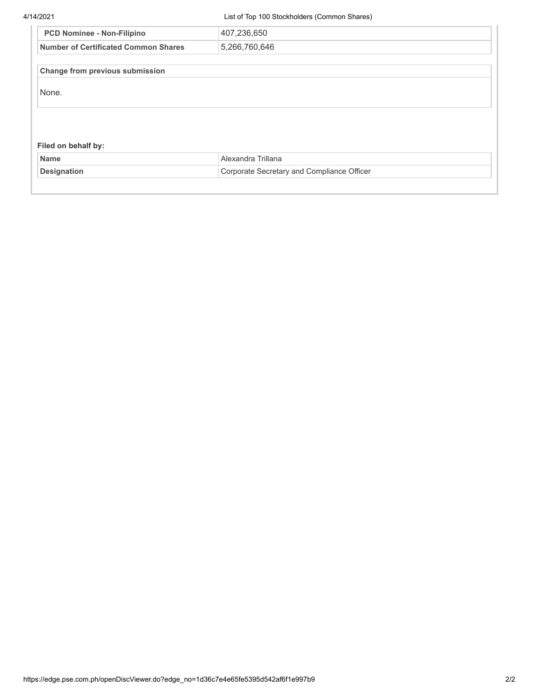4/14/2021 List of Top 100 Stockholders (Common Shares)

| <b>PCD Nominee - Non-Filipino</b>           | 407,236,650        |  |
|---------------------------------------------|--------------------|--|
| <b>Number of Certificated Common Shares</b> | 5,266,760,646      |  |
| Change from previous submission             |                    |  |
| None.                                       |                    |  |
|                                             |                    |  |
|                                             |                    |  |
|                                             |                    |  |
| Filed on behalf by:<br><b>Name</b>          | Alexandra Trillana |  |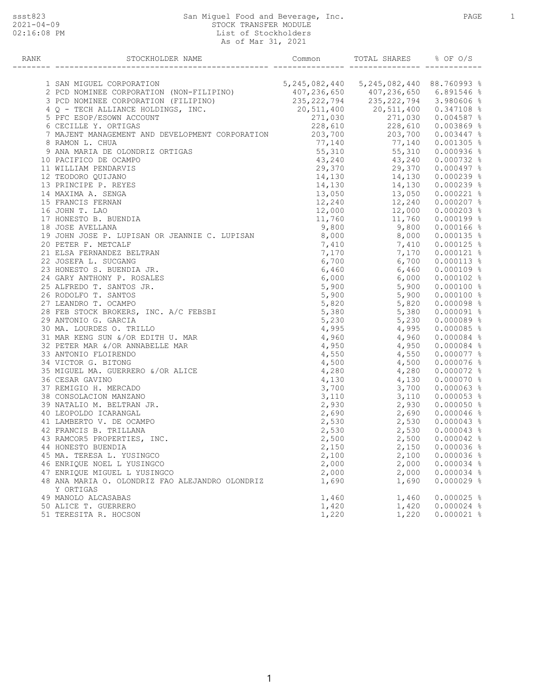## ssst823 San Miguel Food and Beverage, Inc. PAGE 1 2021-04-09 STOCK TRANSFER MODULE 02:16:08 PM  $List$  of Stockholders As of Mar 31, 2021

| RANK |                                                                                                                                                                                                                                                      |       |                                                                                                                                                  |              |
|------|------------------------------------------------------------------------------------------------------------------------------------------------------------------------------------------------------------------------------------------------------|-------|--------------------------------------------------------------------------------------------------------------------------------------------------|--------------|
|      |                                                                                                                                                                                                                                                      |       |                                                                                                                                                  |              |
|      | 1 SAN MIGUEL CORPORATION                                                                                                                                                                                                                             |       | 5, 245, 082, 440 5, 245, 082, 440 88. 760 993 %                                                                                                  |              |
|      | 2 PCD NOMINEE CORPORATION (NON-FILIPINO)<br>3 PCD NOMINEE CORPORATION (FILIPINO)<br>3 PCD NOMINEE CORPORATION (FILIPINO)<br>407,236,650<br>407,236,650<br>20,511,400<br>20,511,400<br>20,511,400<br>20,511,400<br>20,511,400<br>20,511,400<br>20,511 |       |                                                                                                                                                  |              |
|      |                                                                                                                                                                                                                                                      |       |                                                                                                                                                  |              |
|      | 4 Q - TECH ALLIANCE HOLDINGS, INC.<br>5 PFC ESOP/ESOWN ACCOUNT                                                                                                                                                                                       |       |                                                                                                                                                  |              |
|      | 9 ANA MARIA DE OLONDRIZ ORTIGAS<br>FORE SOP/ESOMN ACCOUNT<br>271, 030 271, 030 271, 030 0.004587 %<br>28, 610 228, 610 0.003869 %<br>28, 610 228, 610 0.003869 %<br>203, 700 203, 700 0.003447 %<br>203, 700 203, 700 0.003447 %<br>203, 7           |       |                                                                                                                                                  |              |
|      |                                                                                                                                                                                                                                                      |       |                                                                                                                                                  |              |
|      |                                                                                                                                                                                                                                                      |       |                                                                                                                                                  |              |
|      |                                                                                                                                                                                                                                                      |       |                                                                                                                                                  |              |
|      |                                                                                                                                                                                                                                                      |       |                                                                                                                                                  |              |
|      | 10 PACIFICO DE OCAMPO                                                                                                                                                                                                                                |       | $\begin{array}{cccc} 43,240 & 43,240 & 0.000732 & * \\ 29,370 & 29,370 & 0.000497 & * \end{array}$                                               |              |
|      | 11 WILLIAM PENDARVIS                                                                                                                                                                                                                                 |       |                                                                                                                                                  |              |
|      | 12 TEODORO QUIJANO                                                                                                                                                                                                                                   |       | $14,130$<br>$14,130$<br>$14,130$<br>$14,130$<br>$14,130$<br>$14,130$<br>$13,050$<br>$0.000239$<br>$8$<br>$13,050$<br>$0.000221$<br>$8$           |              |
|      | 13 PRINCIPE P. REYES                                                                                                                                                                                                                                 |       |                                                                                                                                                  |              |
|      | 14 MAXIMA A. SENGA                                                                                                                                                                                                                                   |       |                                                                                                                                                  |              |
|      | 15 FRANCIS FERNAN                                                                                                                                                                                                                                    |       |                                                                                                                                                  |              |
|      | 16 JOHN T. LAO                                                                                                                                                                                                                                       |       | $12,240 \qquad \qquad 12,240 \qquad \qquad 0.000207 \begin{array}{l} 8 \\ 12,000 \end{array}$                                                    |              |
|      | 17 HONESTO B. BUENDIA                                                                                                                                                                                                                                |       | 11,760   11,760   0.000199   %                                                                                                                   |              |
|      |                                                                                                                                                                                                                                                      |       |                                                                                                                                                  |              |
|      | 18 JOSE AVELLANA<br>19 JOHN JOSE P. LUPISAN OR JEANNIE C. LUPISAN 8,000 8,000 8,000 0.000135 %                                                                                                                                                       |       |                                                                                                                                                  |              |
|      | 20 PETER F. METCALF                                                                                                                                                                                                                                  |       |                                                                                                                                                  |              |
|      | 21 ELSA FERNANDEZ BELTRAN                                                                                                                                                                                                                            |       | $\begin{array}{cccc} 7,410 & 7,410 & 0.000125\text{ }*\cr 7,170 & 7,170 & 0.000121\text{ }*\cr 6,700 & 6,700 & 0.000113\text{ }*\cr \end{array}$ |              |
|      | 22 JOSEFA L. SUCGANG                                                                                                                                                                                                                                 |       |                                                                                                                                                  |              |
|      | 22 JOSEFA L. SOCGANG<br>23 HONESTO S. BUENDIA JR.<br>25 ALFREDO T. SANTOS JR.<br>25 ALFREDO T. SANTOS JR.<br>26 RODOLFO T. SANTOS<br>27 LEANDRO T. OCAMPO<br>28 FEB STOCK BROKERS, INC. A/C FEBSBI                                                   |       |                                                                                                                                                  |              |
|      |                                                                                                                                                                                                                                                      |       | $6,460$ $6,460$ $0.000109$ %<br>$6,000$ $6,000$ $0.000102$ %                                                                                     |              |
|      |                                                                                                                                                                                                                                                      |       | $5,900$<br>5,900<br>5.900<br>5,900<br>5,900<br>0.000100 %                                                                                        |              |
|      |                                                                                                                                                                                                                                                      |       |                                                                                                                                                  |              |
|      |                                                                                                                                                                                                                                                      |       |                                                                                                                                                  |              |
|      |                                                                                                                                                                                                                                                      |       | $5,820$ $5,820$                                                                                                                                  | $0.000098$ % |
|      |                                                                                                                                                                                                                                                      |       |                                                                                                                                                  |              |
|      |                                                                                                                                                                                                                                                      |       |                                                                                                                                                  |              |
|      | 28 FEB STOCK BROKERS, INC. A/C ILLUSTER<br>29 ANTONIO G. GARCIA<br>30 MA. LOURDES O. TRILLO<br>31 MAR KENG SUN &/OR EDITH U. MAR<br>32 PETER MAR &/OR ANNABELLE MAR<br>33 ANTONIO FLOIRENDO<br>34 VICTOR G. BITONG<br>35 MIGUEL MA. GUERRERO &/OR A  |       | $4,995$<br>$4,960$<br>$4,960$<br>$4,960$<br>$4,960$<br>$0.000084$ $8$                                                                            |              |
|      |                                                                                                                                                                                                                                                      |       | $4,950$<br>$4,950$<br>$4,950$<br>$4,550$                                                                                                         |              |
|      |                                                                                                                                                                                                                                                      |       |                                                                                                                                                  | $0.000084$ % |
|      |                                                                                                                                                                                                                                                      |       | $4,550$ $4,550$ $0.000077$ $\frac{8}{3}$<br>$4,500$ $4,500$ $0.000076$ $\frac{8}{3}$                                                             |              |
|      |                                                                                                                                                                                                                                                      |       |                                                                                                                                                  |              |
|      |                                                                                                                                                                                                                                                      |       | $\frac{4}{1280}$ , $\frac{4}{130}$ , $\frac{4}{130}$ , $\frac{4}{130}$                                                                           | $0.000072$ % |
|      | 36 CESAR GAVINO                                                                                                                                                                                                                                      |       |                                                                                                                                                  | $0.000070$ % |
|      | 37 REMIGIO H. MERCADO                                                                                                                                                                                                                                |       |                                                                                                                                                  |              |
|      | 38 CONSOLACION MANZANO                                                                                                                                                                                                                               |       |                                                                                                                                                  |              |
|      | 39 NATALIO M. BELTRAN JR.                                                                                                                                                                                                                            |       |                                                                                                                                                  |              |
|      | 40 LEOPOLDO ICARANGAL                                                                                                                                                                                                                                |       |                                                                                                                                                  |              |
|      | 41 LAMBERTO V. DE OCAMPO                                                                                                                                                                                                                             |       |                                                                                                                                                  |              |
|      | 42 FRANCIS B. TRILLANA                                                                                                                                                                                                                               |       |                                                                                                                                                  |              |
|      | 43 RAMCOR5 PROPERTIES, INC.                                                                                                                                                                                                                          |       |                                                                                                                                                  |              |
|      | 44 HONESTO BUENDIA                                                                                                                                                                                                                                   |       |                                                                                                                                                  |              |
|      | 45 MA. TERESA L. YUSINGCO                                                                                                                                                                                                                            | 2,100 | 2,100                                                                                                                                            | $0.000036$ % |
|      | 46 ENRIQUE NOEL L YUSINGCO                                                                                                                                                                                                                           | 2,000 | 2,000                                                                                                                                            | $0.000034$ % |
|      | 47 ENRIQUE MIGUEL L YUSINGCO                                                                                                                                                                                                                         | 2,000 | 2,000                                                                                                                                            | $0.000034$ % |
|      | 48 ANA MARIA O. OLONDRIZ FAO ALEJANDRO OLONDRIZ<br>Y ORTIGAS                                                                                                                                                                                         | 1,690 | 1,690                                                                                                                                            | $0.000029$ % |
|      | 49 MANOLO ALCASABAS                                                                                                                                                                                                                                  | 1,460 | 1,460                                                                                                                                            | $0.000025$ % |
|      | 50 ALICE T. GUERRERO                                                                                                                                                                                                                                 | 1,420 | 1,420                                                                                                                                            | $0.000024$ % |
|      | 51 TERESITA R. HOCSON                                                                                                                                                                                                                                | 1,220 | 1,220                                                                                                                                            | $0.000021$ % |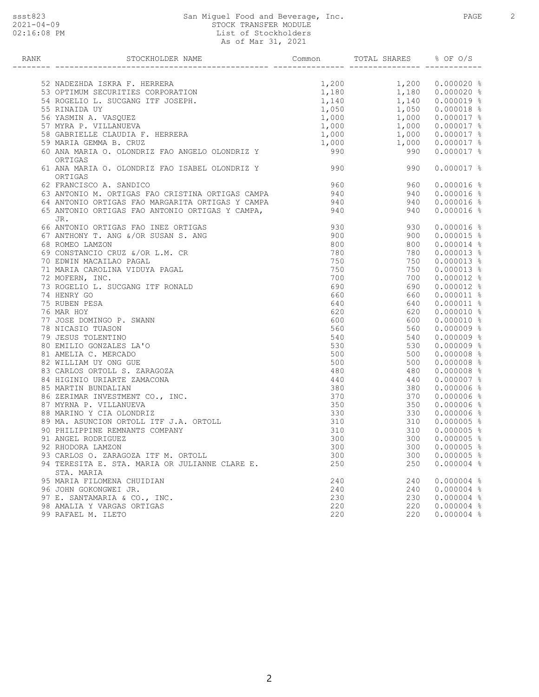## ssst823 San Miguel Food and Beverage, Inc. PAGE 2 2021-04-09 STOCK TRANSFER MODULE 02:16:08 PM  $List$  of Stockholders As of Mar 31, 2021

| <b>RANK</b> | STOCKHOLDER NAME                                                                                                                                                                                  | Common         | TOTAL SHARES % OF O/S                              |                  |
|-------------|---------------------------------------------------------------------------------------------------------------------------------------------------------------------------------------------------|----------------|----------------------------------------------------|------------------|
|             |                                                                                                                                                                                                   |                |                                                    |                  |
|             | 52 NADEZHDA ISKRA F. HERRERA                                                                                                                                                                      |                | $1,200$ $1,200$ $0.000020$ %                       |                  |
|             | 1,200 1,200<br>53 OPTIMUM SECURITIES CORPORATION<br>54 ROGELIO L. SUCGANG ITF JOSEPH.<br>55 RINAIDA UY 1,050 1,050<br>56 YASMIN A. VASQUEZ 1,000 1,000<br>57 MYRA P. VILLANUEVA 1.000 1.000 1 000 |                |                                                    | $0.000020$ %     |
|             |                                                                                                                                                                                                   |                |                                                    |                  |
|             |                                                                                                                                                                                                   |                | $1,140$ 0.000019 %<br>1,050 0.000018 %             |                  |
|             |                                                                                                                                                                                                   |                | $1,000$ $1,000$<br>$1,000$ $1,000$                 | $0.000017$ %     |
|             | 57 MYRA P. VILLANUEVA                                                                                                                                                                             |                |                                                    | $0.000017$ %     |
|             |                                                                                                                                                                                                   |                | $1,000$ $1,000$                                    | $0.000017$ %     |
|             | 58 GABRIELLE CLAUDIA F. HERRERA<br>59 MARIA GEMMA R. CRIIZ<br>59 MARIA GEMMA B. CRUZ                                                                                                              |                |                                                    | $0.000017$ %     |
|             | 60 ANA MARIA O. OLONDRIZ FAO ANGELO OLONDRIZ Y<br>ORTIGAS                                                                                                                                         | $1,000$<br>990 | $\begin{array}{r} 1,000 \\ 990 \end{array}$<br>990 | $0.000017$ %     |
|             | 61 ANA MARIA O. OLONDRIZ FAO ISABEL OLONDRIZ Y<br>ORTIGAS                                                                                                                                         | 990            | 990                                                | $0.000017$ %     |
|             | 62 FRANCISCO A. SANDICO                                                                                                                                                                           | 960            | 960                                                | $0.000016$ %     |
|             |                                                                                                                                                                                                   | 940            | 940                                                | $0.000016$ %     |
|             |                                                                                                                                                                                                   |                | 940                                                | $0.000016$ %     |
|             | 63 ANTONIO M. ORTIGAS FAO CRISTINA UNIIUMO CARIA<br>64 ANTONIO ORTIGAS FAO MARGARITA ORTIGAS Y CAMPA. 940                                                                                         |                | 940                                                | $0.000016$ %     |
|             | JR.                                                                                                                                                                                               |                |                                                    |                  |
|             | 66 ANTONIO ORTIGAS FAO INEZ ORTIGAS                                                                                                                                                               | 930            | 930                                                | $0.000016$ %     |
|             | 67 ANTHONY T. ANG &/OR SUSAN S. ANG                                                                                                                                                               | 900            | 900                                                | $0.000015$ %     |
|             | 68 ROMEO LAMZON                                                                                                                                                                                   | 800            | 800                                                | $0.000014$ %     |
|             | 69 CONSTANCIO CRUZ &/OR L.M. CR                                                                                                                                                                   | 780            | 780                                                | $0.000013$ %     |
|             | 70 EDWIN MACAILAO PAGAL                                                                                                                                                                           | 750            | 750                                                | $0.000013$ %     |
|             | 71 MARIA CAROLINA VIDUYA PAGAL                                                                                                                                                                    | 750            | 750                                                | $0.000013$ %     |
|             | 72 MOFERN, INC.                                                                                                                                                                                   | 700            | 700                                                | $0.000012$ %     |
|             | 73 ROGELIO L. SUCGANG ITF RONALD                                                                                                                                                                  | 690            | 690                                                | $0.000012$ %     |
|             | 74 HENRY GO                                                                                                                                                                                       | 660            | 660                                                | $0.000011$ %     |
|             | 75 RUBEN PESA                                                                                                                                                                                     | 640            | 640                                                | $0.000011$ %     |
|             | 76 MAR HOY                                                                                                                                                                                        | 620            | 620                                                | $0.000010$ %     |
|             | 77 JOSE DOMINGO P. SWANN                                                                                                                                                                          | 600            | 600                                                | $0.000010$ %     |
|             | 78 NICASIO TUASON                                                                                                                                                                                 | 560            | 560                                                | $0.000009$ %     |
|             | 79 JESUS TOLENTINO                                                                                                                                                                                | 540            | 540                                                | $0.000009$ %     |
|             | 80 EMILIO GONZALES LA'O                                                                                                                                                                           | 530            | 530                                                | $0.000009$ %     |
|             | 81 AMELIA C. MERCADO                                                                                                                                                                              | 500            | 500                                                | $0.000008$ %     |
|             | 82 WILLIAM UY ONG GUE                                                                                                                                                                             | 500            | 500                                                | $0.000008$ %     |
|             | 83 CARLOS ORTOLL S. ZARAGOZA                                                                                                                                                                      | 480            | 480                                                | $0.000008$ %     |
|             | 84 HIGINIO URIARTE ZAMACONA                                                                                                                                                                       | 440            | 440                                                | $0.000007$ %     |
|             | 85 MARTIN BUNDALIAN                                                                                                                                                                               | 380            | 380                                                | $0.000006$ %     |
|             | 86 ZERIMAR INVESTMENT CO., INC.                                                                                                                                                                   | 370            | 370                                                | $0.000006$ %     |
|             | 87 MYRNA P. VILLANUEVA                                                                                                                                                                            | 350            | 350                                                | $0.000006$ %     |
|             | 88 MARINO Y CIA OLONDRIZ                                                                                                                                                                          | 330            | 330                                                | $0.000006$ %     |
|             | 89 MA. ASUNCION ORTOLL ITF J.A. ORTOLL                                                                                                                                                            | 310            | 310                                                | $0.000005$ %     |
|             | 90 PHILIPPINE REMNANTS COMPANY                                                                                                                                                                    | 310            | 310                                                | $0.000005$ %     |
|             | 91 ANGEL RODRIGUEZ                                                                                                                                                                                | 300            | 300                                                | $0.000005$ %     |
|             | 92 RHODORA LAMZON                                                                                                                                                                                 | 300            |                                                    | 300  0.000005  % |
|             | 93 CARLOS O. ZARAGOZA ITF M. ORTOLL                                                                                                                                                               | 300            | 300                                                | $0.000005$ %     |
|             | 94 TERESITA E. STA. MARIA OR JULIANNE CLARE E.                                                                                                                                                    | 250            | 250                                                | $0.000004$ %     |
|             | STA. MARIA                                                                                                                                                                                        |                |                                                    |                  |
|             | 95 MARIA FILOMENA CHUIDIAN                                                                                                                                                                        | 240            | 240                                                | $0.000004$ %     |
|             | 96 JOHN GOKONGWEI JR.                                                                                                                                                                             | 240            | 240                                                | $0.000004$ %     |
|             | 97 E. SANTAMARIA & CO., INC.                                                                                                                                                                      | 230            | 230                                                | $0.000004$ %     |
|             | 98 AMALIA Y VARGAS ORTIGAS                                                                                                                                                                        | 220            | 220                                                | $0.000004$ %     |
|             | 99 RAFAEL M. ILETO                                                                                                                                                                                | 220            | 220                                                | $0.000004$ %     |
|             |                                                                                                                                                                                                   |                |                                                    |                  |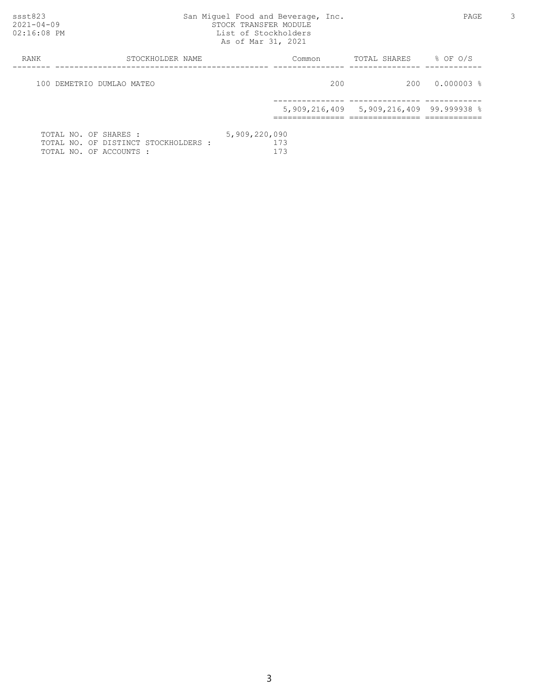## ssst823 San Miguel Food and Beverage, Inc. PAGE 3 2021-04-09 STOCK TRANSFER MODULE 02:16:08 PM  $List$  of Stockholders As of Mar 31, 2021

| RANK                      | STOCKHOLDER NAME                                                                         | Common                      | TOTAL SHARES                                        | $8$ OF O/S   |
|---------------------------|------------------------------------------------------------------------------------------|-----------------------------|-----------------------------------------------------|--------------|
| 100 DEMETRIO DUMLAO MATEO |                                                                                          | 200                         | 200                                                 | $0.000003$ % |
|                           |                                                                                          |                             | 5,909,216,409 5,909,216,409 99.999938 $\frac{8}{3}$ |              |
|                           | TOTAL NO. OF SHARES :<br>TOTAL NO. OF DISTINCT STOCKHOLDERS :<br>TOTAL NO. OF ACCOUNTS : | 5,909,220,090<br>173<br>173 |                                                     |              |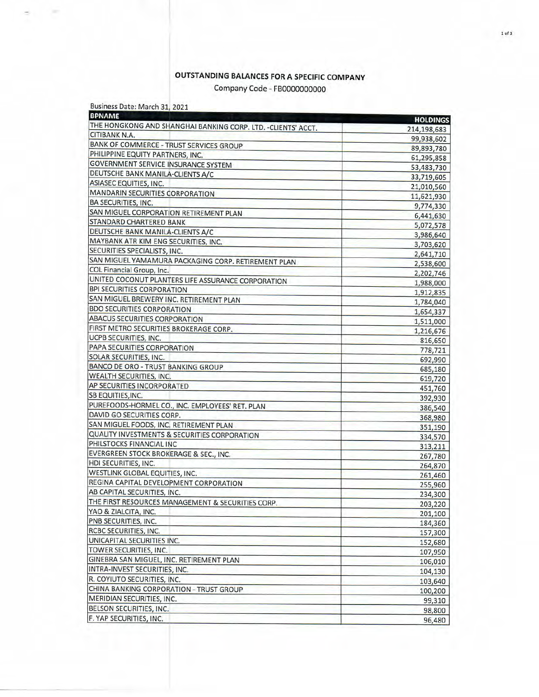## **OUTSTANDING BALANCES FOR A SPECIFIC COMPANY**

Company Code - FB0000000000

| Business Date: March 31, 2021 |  |  |  |  |
|-------------------------------|--|--|--|--|
|-------------------------------|--|--|--|--|

| <b>BPNAME</b>                                                 | <b>HOLDINGS</b> |
|---------------------------------------------------------------|-----------------|
| THE HONGKONG AND SHANGHAI BANKING CORP. LTD. - CLIENTS' ACCT. | 214,198,683     |
| CITIBANK N.A.                                                 | 99,938,602      |
| <b>BANK OF COMMERCE - TRUST SERVICES GROUP</b>                | 89,893,780      |
| PHILIPPINE EQUITY PARTNERS, INC.                              | 61,295,858      |
| GOVERNMENT SERVICE INSURANCE SYSTEM                           | 53,483,730      |
| DEUTSCHE BANK MANILA-CLIENTS A/C                              | 33,719,605      |
| ASIASEC EQUITIES, INC.                                        | 21,010,560      |
| MANDARIN SECURITIES CORPORATION                               | 11,621,930      |
| <b>BA SECURITIES, INC.</b>                                    | 9,774,330       |
| SAN MIGUEL CORPORATION RETIREMENT PLAN                        | 6,441,630       |
| STANDARD CHARTERED BANK                                       | 5,072,578       |
| DEUTSCHE BANK MANILA-CLIENTS A/C                              | 3,986,640       |
| MAYBANK ATR KIM ENG SECURITIES, INC.                          | 3,703,620       |
| SECURITIES SPECIALISTS, INC.                                  | 2,641,710       |
| SAN MIGUEL YAMAMURA PACKAGING CORP. RETIREMENT PLAN           | 2,538,600       |
| COL Financial Group, Inc.                                     | 2,202,746       |
| UNITED COCONUT PLANTERS LIFE ASSURANCE CORPORATION            | 1,988,000       |
| <b>BPI SECURITIES CORPORATION</b>                             | 1,912,835       |
| SAN MIGUEL BREWERY INC. RETIREMENT PLAN                       | 1,784,040       |
| <b>BDO SECURITIES CORPORATION</b>                             | 1,654,337       |
| <b>ABACUS SECURITIES CORPORATION</b>                          | 1,511,000       |
| FIRST METRO SECURITIES BROKERAGE CORP.                        | 1,216,676       |
| UCPB SECURITIES, INC.                                         | 816,650         |
| PAPA SECURITIES CORPORATION                                   | 778,721         |
| SOLAR SECURITIES, INC.                                        | 692,990         |
| <b>BANCO DE ORO - TRUST BANKING GROUP</b>                     | 685,180         |
| <b>WEALTH SECURITIES, INC.</b>                                | 619,720         |
| AP SECURITIES INCORPORATED                                    | 451,760         |
| SB EQUITIES, INC.                                             | 392,930         |
| PUREFOODS-HORMEL CO., INC. EMPLOYEES' RET. PLAN               | 386,540         |
| DAVID GO SECURITIES CORP.                                     | 368,980         |
| SAN MIGUEL FOODS, INC. RETIREMENT PLAN                        | 351,190         |
| <b>QUALITY INVESTMENTS &amp; SECURITIES CORPORATION</b>       | 334,570         |
| PHILSTOCKS FINANCIAL INC                                      | 313,211         |
| EVERGREEN STOCK BROKERAGE & SEC., INC.                        | 267,780         |
| HDI SECURITIES, INC.                                          | 264,870         |
| WESTLINK GLOBAL EQUITIES, INC.                                | 261,460         |
| REGINA CAPITAL DEVELOPMENT CORPORATION                        |                 |
| AB CAPITAL SECURITIES, INC.                                   | 255,960         |
| THE FIRST RESOURCES MANAGEMENT & SECURITIES CORP.             | 234,300         |
| YAO & ZIALCITA, INC.                                          | 203,220         |
| PNB SECURITIES, INC.                                          | 201,100         |
| RCBC SECURITIES, INC.                                         | 184,360         |
| UNICAPITAL SECURITIES INC.                                    | 157,300         |
| TOWER SECURITIES, INC.                                        | 152,680         |
| GINEBRA SAN MIGUEL, INC. RETIREMENT PLAN                      | 107,950         |
| INTRA-INVEST SECURITIES, INC.                                 | 106,010         |
| R. COYIUTO SECURITIES, INC.                                   | 104,130         |
| CHINA BANKING CORPORATION - TRUST GROUP                       | 103,640         |
| MERIDIAN SECURITIES, INC.                                     | 100,200         |
| BELSON SECURITIES, INC.                                       | 99,310          |
|                                                               | 98,800          |
| F. YAP SECURITIES, INC.                                       | 96,480          |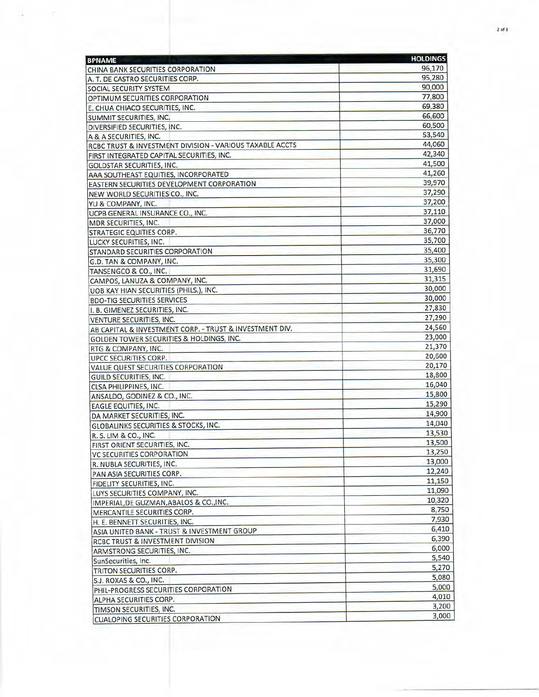| 96,170<br>95,280<br>90,000<br>77,800<br>69,380<br>66,600<br>60,500<br>53,540<br>44,060 |
|----------------------------------------------------------------------------------------|
|                                                                                        |
|                                                                                        |
|                                                                                        |
|                                                                                        |
|                                                                                        |
|                                                                                        |
|                                                                                        |
|                                                                                        |
|                                                                                        |
| 42,340                                                                                 |
| 41,500                                                                                 |
| 41,260                                                                                 |
| 39,970                                                                                 |
| 37,290                                                                                 |
| 37,200                                                                                 |
| 37,110                                                                                 |
| 37,000                                                                                 |
| 36,770                                                                                 |
| 35,700                                                                                 |
| 35,400                                                                                 |
| 35,300                                                                                 |
| 31,690                                                                                 |
| 31,315                                                                                 |
| 30,000                                                                                 |
| 30,000                                                                                 |
| 27,830                                                                                 |
| 27,290                                                                                 |
| 24,560                                                                                 |
| 23,000                                                                                 |
| 21,370                                                                                 |
| 20,600                                                                                 |
| 20,170                                                                                 |
| 18,800                                                                                 |
| 16,040                                                                                 |
| 15,800                                                                                 |
| 15,290                                                                                 |
| 14,900                                                                                 |
| 14.040                                                                                 |
| 13,530                                                                                 |
| 13,500                                                                                 |
| 13,250                                                                                 |
| 13,000                                                                                 |
| 12,240                                                                                 |
| 11,150                                                                                 |
| 11,090                                                                                 |
| 10,320                                                                                 |
| 8,750                                                                                  |
| 7,930                                                                                  |
| 6,410                                                                                  |
| 6,390                                                                                  |
| 6,000                                                                                  |
| 5,540                                                                                  |
| 5,270                                                                                  |
| 5,080                                                                                  |
| 5,000                                                                                  |
| 4,010                                                                                  |
| 3,200                                                                                  |
|                                                                                        |
|                                                                                        |